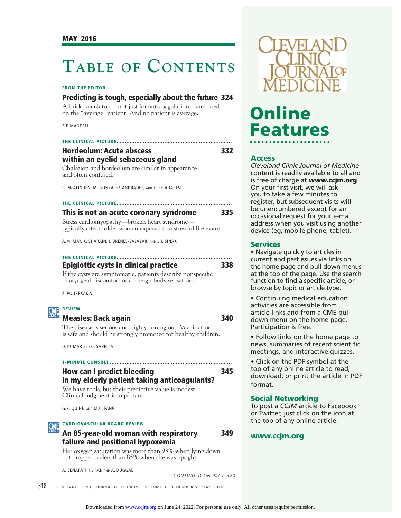# **TABLE OF CONTENTS**

### **FROM THE EDITOR ............................................................................**

### **Predicting is tough, especially about the future 324**

All risk calculators—not just for anticoagulation—are based on the "average" patient. And no patient is average.

B.F. MANDELL

### **THE CLINICAL PICTURE ...................................................................... Hordeolum: Acute abscess 332 within an eyelid sebaceous gland**

Chalazion and hordeolum are similar in appearance and often confused.

C. MCALINDEN, M. GONZÁLEZ-ANDRADES, AND E. SKIADARESI

### **THE CLINICAL PICTURE ......................................................................**

**This is not an acute coronary syndrome 335** Stress cardiomyopathy—broken heart syndrome typically affects older women exposed to a stressful life event.

A.M. MAY, K. SHARAIN, J. BRENES-SALAZAR, AND L.J. SINAK

### **THE CLINICAL PICTURE ...................................................................... Epiglottic cysts in clinical practice 338**

If the cysts are symptomatic, patients describe nonspecifi c pharyngeal discomfort or a foreign-body sensation.

Z. VOUREXAKIS



### **Measles: Back again 340**

The disease is serious and highly contagious. Vaccination is safe and should be strongly promoted for healthy children.

D. KUMAR AND C. SABELLA

### **1-MINUTE CONSULT .......................................................................... How can I predict bleeding 345 in my elderly patient taking anticoagulants?**

We have tools, but their predictive value is modest. Clinical judgment is important.

G.R. QUINN AND M.C. FANG

**CARDIOVASCULAR BOARD REVIEW .....................................................**

### **An 85-year-old woman with respiratory 349 failure and positional hypoxemia**

Her oxygen saturation was more than 93% when lying down but dropped to less than 85% when she was upright.

A. SENAPATI, H. RAI, AND A. DUGGAL

*CONTINUED ON PAGE 320*





# Online **Features Features**

**Access** *Cleveland Clinic Journal of Medicine*  content is readily available to all and is free of charge at **www.ccjm.org**. On your first visit, we will ask you to take a few minutes to register, but subsequent visits will be unencumbered except for an occasional request for your e-mail address when you visit using another device (eg, mobile phone, tablet).

• Navigate quickly to articles in current and past issues via links on the home page and pull-down menus at the top of the page. Use the search function to find a specific article, or browse by topic or article type.

• Continuing medical education activities are accessible from article links and from a CME pulldown menu on the home page. Participation is free.

• Follow links on the home page to news, summaries of recent scientific meetings, and interactive quizzes.

• Click on the PDF symbol at the top of any online article to read, download, or print the article in PDF format.

**Social Networking** To post a *CCJM* article to Facebook or Twitter, just click on the icon at the top of any online article.

## **www.ccjm.org**